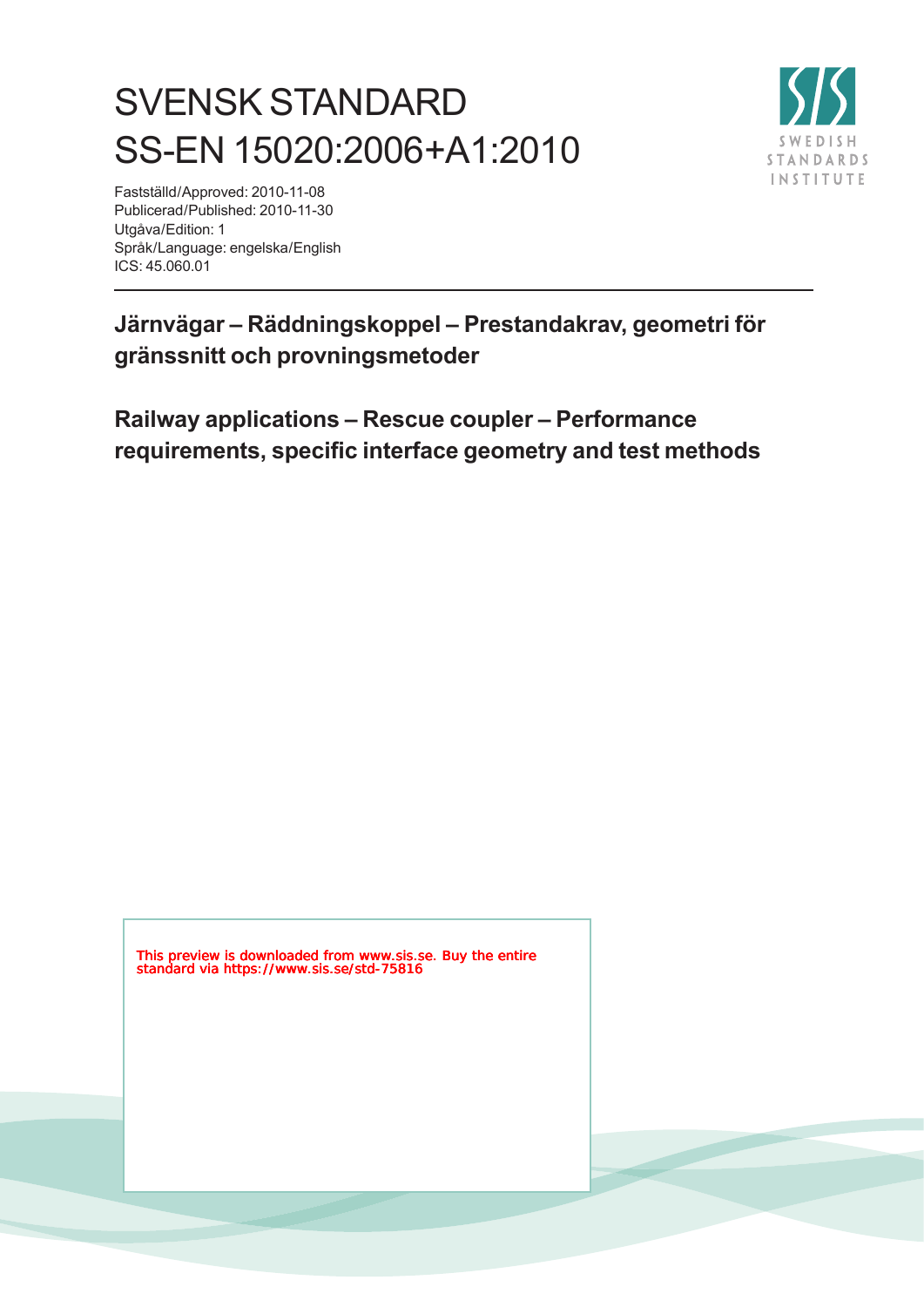# SVENSK STANDARD SS-EN 15020:2006+A1:2010



Fastställd/Approved: 2010-11-08 Publicerad/Published: 2010-11-30 Utgåva/Edition: 1 Språk/Language: engelska/English ICS: 45.060.01

### **Järnvägar – Räddningskoppel – Prestandakrav, geometri för gränssnitt och provningsmetoder**

**Railway applications – Rescue coupler – Performance requirements, specific interface geometry and test methods**

This preview is downloaded from www.sis.se. Buy the entire standard via https://www.sis.se/std-75816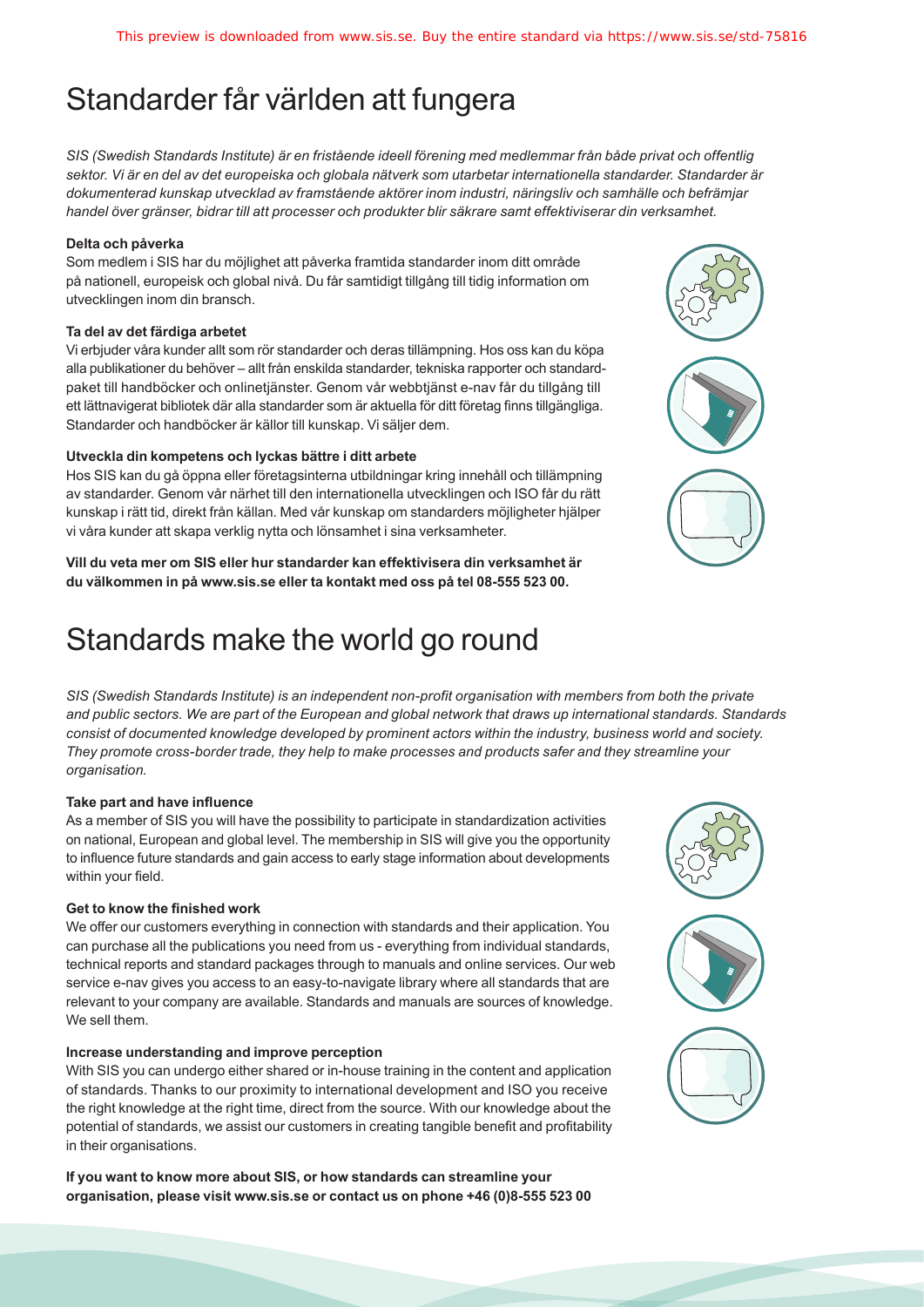## Standarder får världen att fungera

*SIS (Swedish Standards Institute) är en fristående ideell förening med medlemmar från både privat och offentlig sektor. Vi är en del av det europeiska och globala nätverk som utarbetar internationella standarder. Standarder är dokumenterad kunskap utvecklad av framstående aktörer inom industri, näringsliv och samhälle och befrämjar handel över gränser, bidrar till att processer och produkter blir säkrare samt effektiviserar din verksamhet.* 

#### **Delta och påverka**

Som medlem i SIS har du möjlighet att påverka framtida standarder inom ditt område på nationell, europeisk och global nivå. Du får samtidigt tillgång till tidig information om utvecklingen inom din bransch.

#### **Ta del av det färdiga arbetet**

Vi erbjuder våra kunder allt som rör standarder och deras tillämpning. Hos oss kan du köpa alla publikationer du behöver – allt från enskilda standarder, tekniska rapporter och standardpaket till handböcker och onlinetjänster. Genom vår webbtjänst e-nav får du tillgång till ett lättnavigerat bibliotek där alla standarder som är aktuella för ditt företag finns tillgängliga. Standarder och handböcker är källor till kunskap. Vi säljer dem.

#### **Utveckla din kompetens och lyckas bättre i ditt arbete**

Hos SIS kan du gå öppna eller företagsinterna utbildningar kring innehåll och tillämpning av standarder. Genom vår närhet till den internationella utvecklingen och ISO får du rätt kunskap i rätt tid, direkt från källan. Med vår kunskap om standarders möjligheter hjälper vi våra kunder att skapa verklig nytta och lönsamhet i sina verksamheter.

**Vill du veta mer om SIS eller hur standarder kan effektivisera din verksamhet är du välkommen in på www.sis.se eller ta kontakt med oss på tel 08-555 523 00.**

## Standards make the world go round

*SIS (Swedish Standards Institute) is an independent non-profit organisation with members from both the private and public sectors. We are part of the European and global network that draws up international standards. Standards consist of documented knowledge developed by prominent actors within the industry, business world and society. They promote cross-border trade, they help to make processes and products safer and they streamline your organisation.*

#### **Take part and have influence**

As a member of SIS you will have the possibility to participate in standardization activities on national, European and global level. The membership in SIS will give you the opportunity to influence future standards and gain access to early stage information about developments within your field.

#### **Get to know the finished work**

We offer our customers everything in connection with standards and their application. You can purchase all the publications you need from us - everything from individual standards, technical reports and standard packages through to manuals and online services. Our web service e-nav gives you access to an easy-to-navigate library where all standards that are relevant to your company are available. Standards and manuals are sources of knowledge. We sell them.

#### **Increase understanding and improve perception**

With SIS you can undergo either shared or in-house training in the content and application of standards. Thanks to our proximity to international development and ISO you receive the right knowledge at the right time, direct from the source. With our knowledge about the potential of standards, we assist our customers in creating tangible benefit and profitability in their organisations.

**If you want to know more about SIS, or how standards can streamline your organisation, please visit www.sis.se or contact us on phone +46 (0)8-555 523 00**



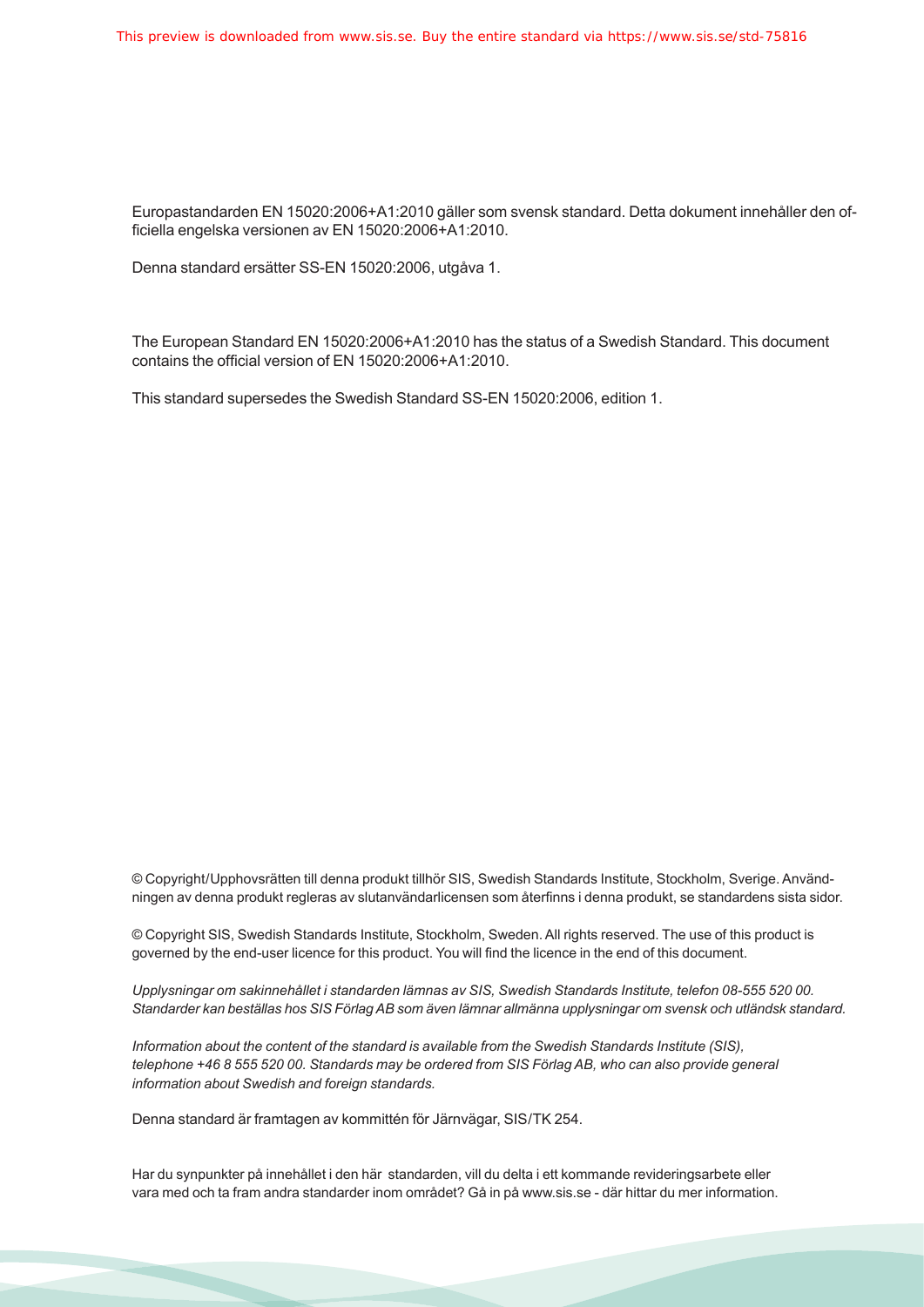Europastandarden EN 15020:2006+A1:2010 gäller som svensk standard. Detta dokument innehåller den officiella engelska versionen av EN 15020:2006+A1:2010.

Denna standard ersätter SS-EN 15020:2006, utgåva 1.

The European Standard EN 15020:2006+A1:2010 has the status of a Swedish Standard. This document contains the official version of EN 15020:2006+A1:2010.

This standard supersedes the Swedish Standard SS-EN 15020:2006, edition 1.

© Copyright/Upphovsrätten till denna produkt tillhör SIS, Swedish Standards Institute, Stockholm, Sverige. Användningen av denna produkt regleras av slutanvändarlicensen som återfinns i denna produkt, se standardens sista sidor.

© Copyright SIS, Swedish Standards Institute, Stockholm, Sweden. All rights reserved. The use of this product is governed by the end-user licence for this product. You will find the licence in the end of this document.

*Upplysningar om sakinnehållet i standarden lämnas av SIS, Swedish Standards Institute, telefon 08-555 520 00. Standarder kan beställas hos SIS Förlag AB som även lämnar allmänna upplysningar om svensk och utländsk standard.*

*Information about the content of the standard is available from the Swedish Standards Institute (SIS), telephone +46 8 555 520 00. Standards may be ordered from SIS Förlag AB, who can also provide general information about Swedish and foreign standards.*

Denna standard är framtagen av kommittén för Järnvägar, SIS/TK 254.

Har du synpunkter på innehållet i den här standarden, vill du delta i ett kommande revideringsarbete eller vara med och ta fram andra standarder inom området? Gå in på www.sis.se - där hittar du mer information.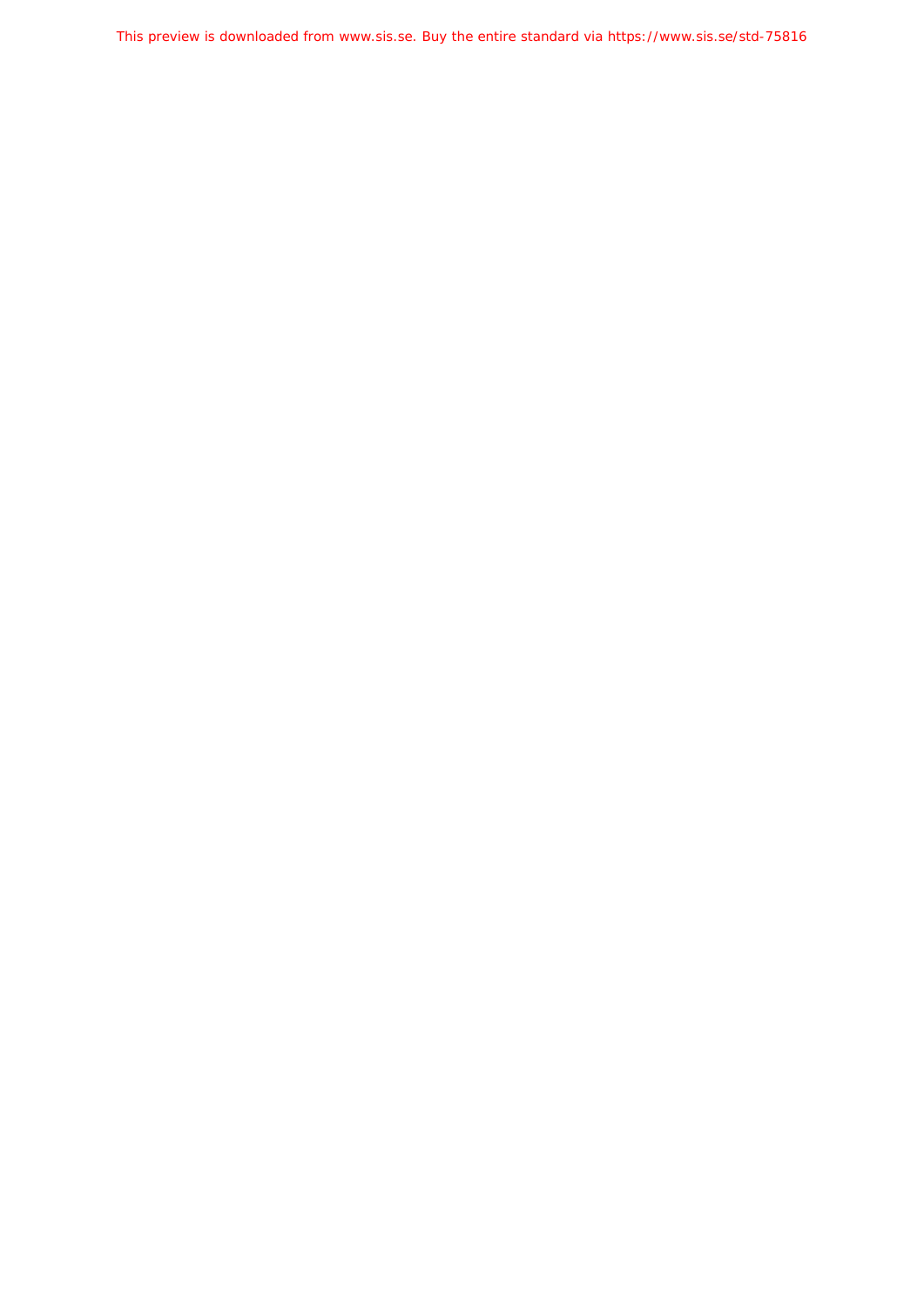This preview is downloaded from www.sis.se. Buy the entire standard via https://www.sis.se/std-75816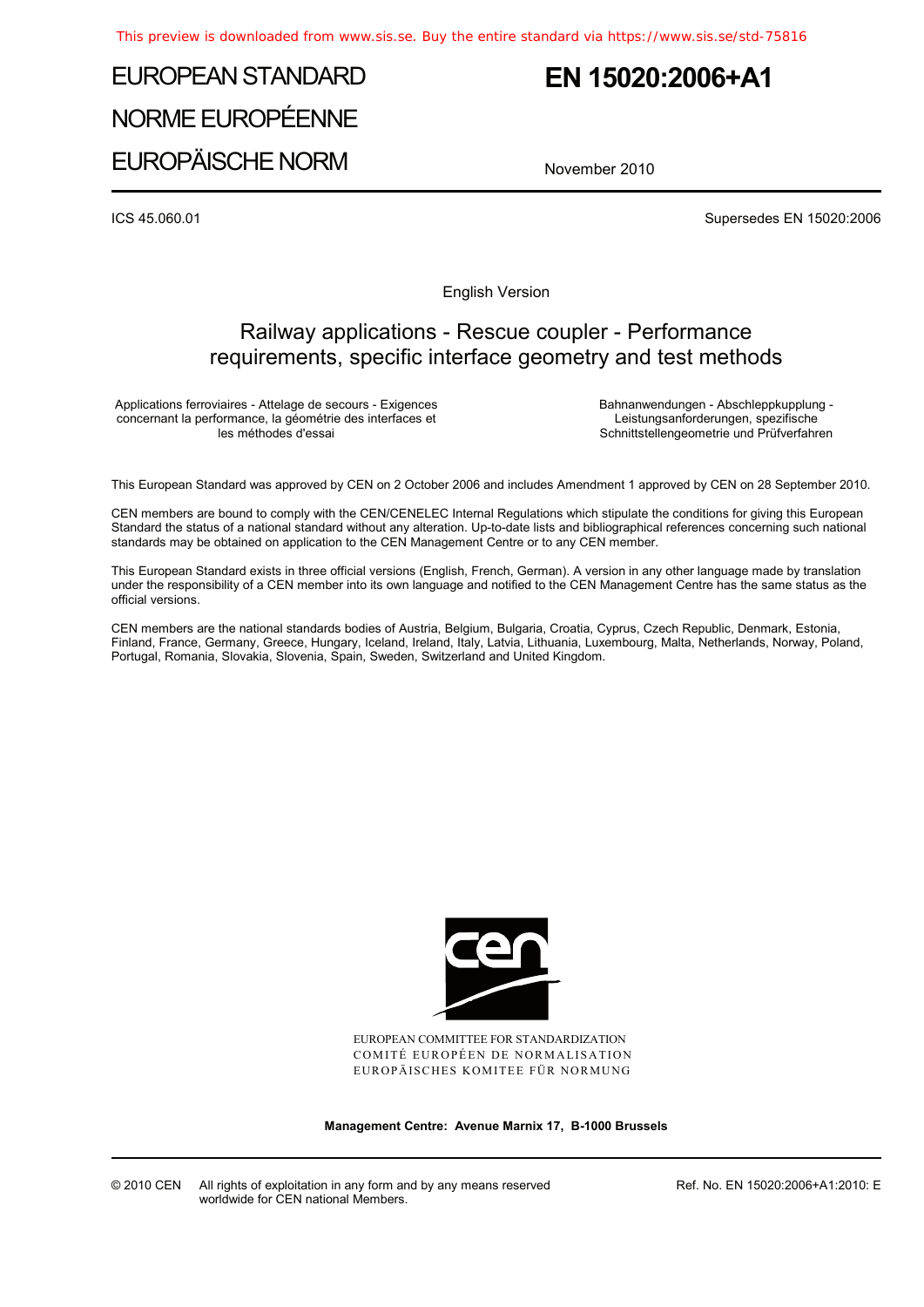## EUROPEAN STANDARD NORME EUROPÉENNE EUROPÄISCHE NORM

### **EN 15020:2006+A1**

November 2010

ICS 45.060.01 Supersedes EN 15020:2006

English Version

#### Railway applications - Rescue coupler - Performance requirements, specific interface geometry and test methods

Applications ferroviaires - Attelage de secours - Exigences concernant la performance, la géométrie des interfaces et les méthodes d'essai

Bahnanwendungen - Abschleppkupplung - Leistungsanforderungen, spezifische Schnittstellengeometrie und Prüfverfahren

This European Standard was approved by CEN on 2 October 2006 and includes Amendment 1 approved by CEN on 28 September 2010.

CEN members are bound to comply with the CEN/CENELEC Internal Regulations which stipulate the conditions for giving this European Standard the status of a national standard without any alteration. Up-to-date lists and bibliographical references concerning such national standards may be obtained on application to the CEN Management Centre or to any CEN member.

This European Standard exists in three official versions (English, French, German). A version in any other language made by translation under the responsibility of a CEN member into its own language and notified to the CEN Management Centre has the same status as the official versions.

CEN members are the national standards bodies of Austria, Belgium, Bulgaria, Croatia, Cyprus, Czech Republic, Denmark, Estonia, Finland, France, Germany, Greece, Hungary, Iceland, Ireland, Italy, Latvia, Lithuania, Luxembourg, Malta, Netherlands, Norway, Poland, Portugal, Romania, Slovakia, Slovenia, Spain, Sweden, Switzerland and United Kingdom.



EUROPEAN COMMITTEE FOR STANDARDIZATION COMITÉ EUROPÉEN DE NORMALISATION EUROPÄISCHES KOMITEE FÜR NORMUNG

**Management Centre: Avenue Marnix 17, B-1000 Brussels**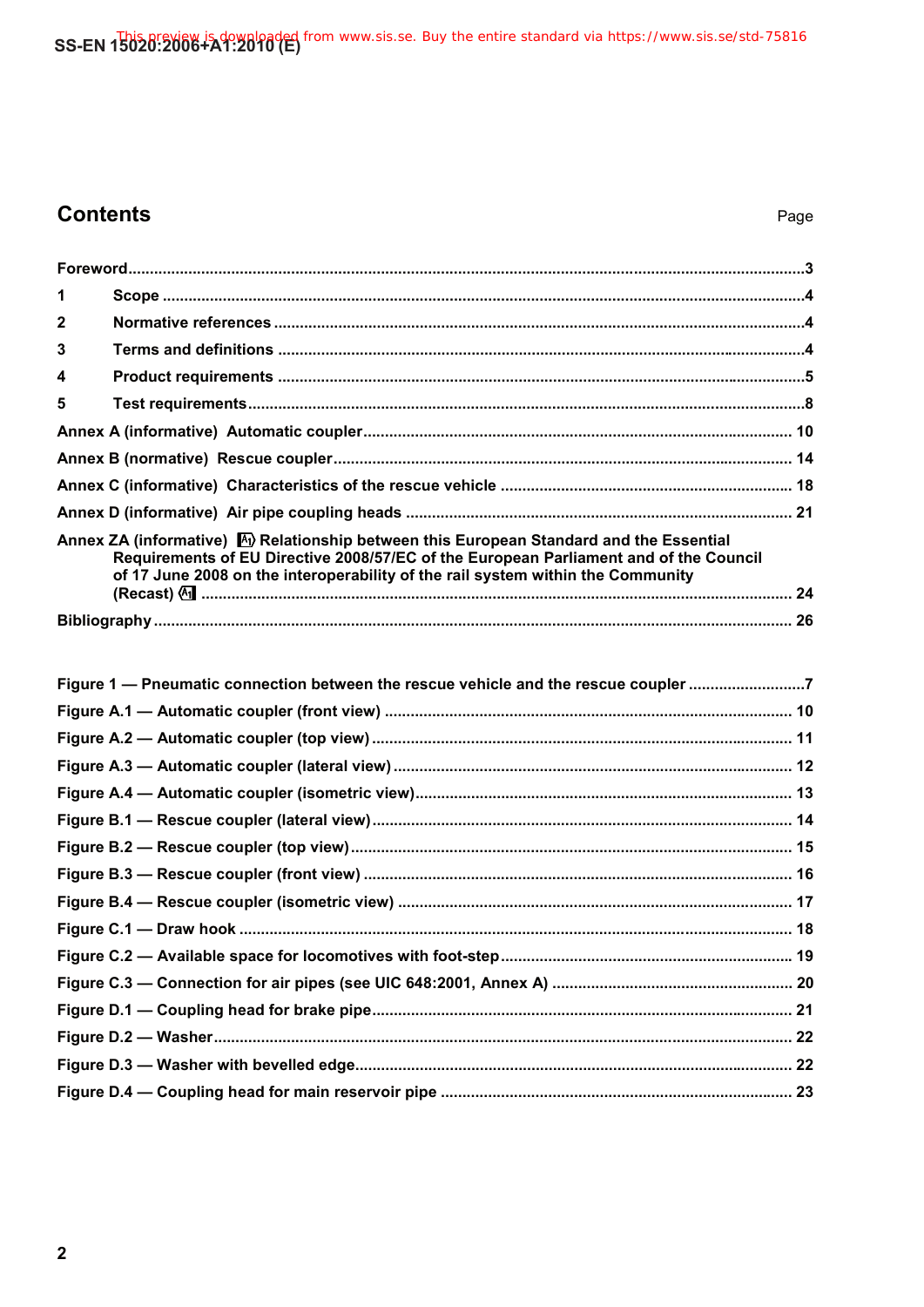SS-EN 15020:2006+A1:2010 (E) from www.sis.se. Buy the entire standard via https://www.sis.se/std-75816

### **Contents**

| $\blacktriangleleft$                                                                                                                                                                                                                                                              |  |
|-----------------------------------------------------------------------------------------------------------------------------------------------------------------------------------------------------------------------------------------------------------------------------------|--|
| $\overline{2}$                                                                                                                                                                                                                                                                    |  |
| 3                                                                                                                                                                                                                                                                                 |  |
| $\boldsymbol{4}$                                                                                                                                                                                                                                                                  |  |
| 5                                                                                                                                                                                                                                                                                 |  |
|                                                                                                                                                                                                                                                                                   |  |
|                                                                                                                                                                                                                                                                                   |  |
|                                                                                                                                                                                                                                                                                   |  |
|                                                                                                                                                                                                                                                                                   |  |
| Annex ZA (informative) $\mathbb{F}_1$ ) Relationship between this European Standard and the Essential<br>Requirements of EU Directive 2008/57/EC of the European Parliament and of the Council<br>of 17 June 2008 on the interoperability of the rail system within the Community |  |
|                                                                                                                                                                                                                                                                                   |  |

| Figure 1 - Pneumatic connection between the rescue vehicle and the rescue coupler 7 |  |
|-------------------------------------------------------------------------------------|--|
|                                                                                     |  |
|                                                                                     |  |
|                                                                                     |  |
|                                                                                     |  |
|                                                                                     |  |
|                                                                                     |  |
|                                                                                     |  |
|                                                                                     |  |
|                                                                                     |  |
|                                                                                     |  |
|                                                                                     |  |
|                                                                                     |  |
|                                                                                     |  |
|                                                                                     |  |
|                                                                                     |  |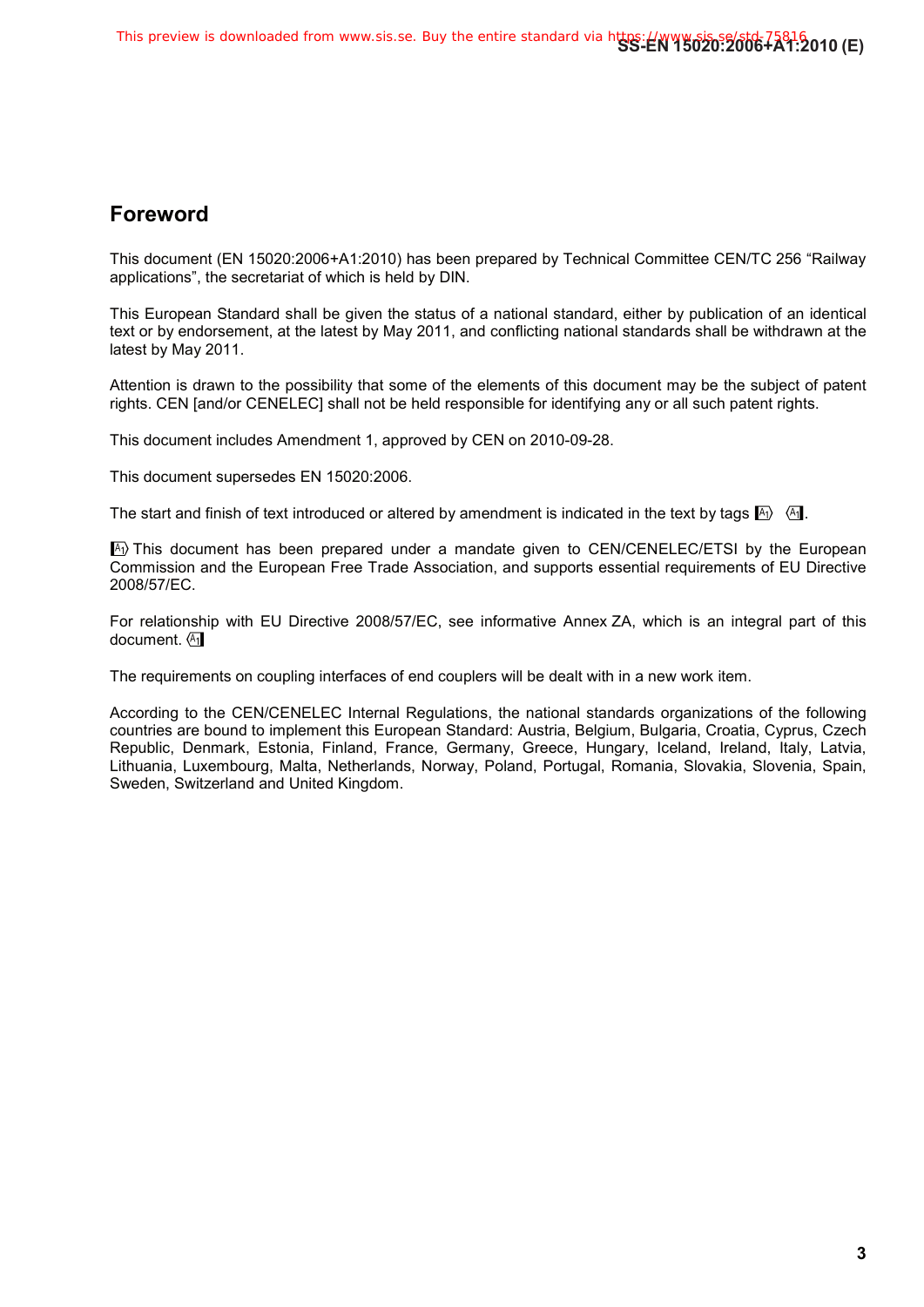#### **Foreword**

This document (EN 15020:2006+A1:2010) has been prepared by Technical Committee CEN/TC 256 "Railway applications", the secretariat of which is held by DIN.

This European Standard shall be given the status of a national standard, either by publication of an identical text or by endorsement, at the latest by May 2011, and conflicting national standards shall be withdrawn at the latest by May 2011.

Attention is drawn to the possibility that some of the elements of this document may be the subject of patent rights. CEN [and/or CENELEC] shall not be held responsible for identifying any or all such patent rights.

This document includes Amendment 1, approved by CEN on 2010-09-28.

This document supersedes EN 15020:2006.

The start and finish of text introduced or altered by amendment is indicated in the text by tags  $\mathbb{A}_1$ .

 $\mathbb{F}_{1}$ ) This document has been prepared under a mandate given to CEN/CENELEC/ETSI by the European Commission and the European Free Trade Association, and supports essential requirements of EU Directive 2008/57/EC.

For relationship with EU Directive 2008/57/EC, see informative Annex ZA, which is an integral part of this document.  $\sqrt{41}$ 

The requirements on coupling interfaces of end couplers will be dealt with in a new work item.

According to the CEN/CENELEC Internal Regulations, the national standards organizations of the following countries are bound to implement this European Standard: Austria, Belgium, Bulgaria, Croatia, Cyprus, Czech Republic, Denmark, Estonia, Finland, France, Germany, Greece, Hungary, Iceland, Ireland, Italy, Latvia, Lithuania, Luxembourg, Malta, Netherlands, Norway, Poland, Portugal, Romania, Slovakia, Slovenia, Spain, Sweden, Switzerland and United Kingdom.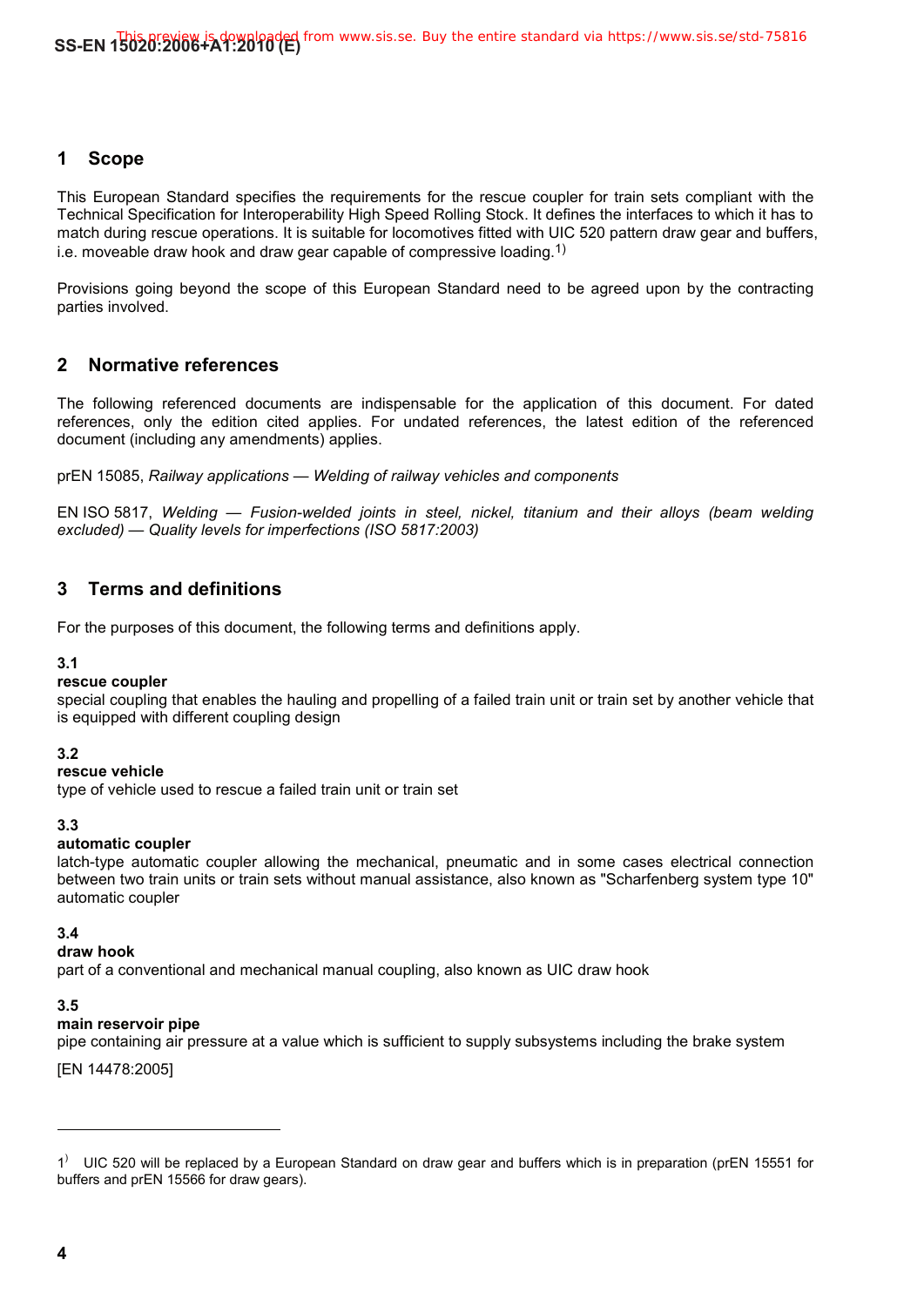#### **1 Scope**

This European Standard specifies the requirements for the rescue coupler for train sets compliant with the Technical Specification for Interoperability High Speed Rolling Stock. It defines the interfaces to which it has to match during rescue operations. It is suitable for locomotives fitted with UIC 520 pattern draw gear and buffers, i.e. moveable draw hook and draw gear capable of compressive loading.<sup>1)</sup>

Provisions going beyond the scope of this European Standard need to be agreed upon by the contracting parties involved.

#### **2 Normative references**

The following referenced documents are indispensable for the application of this document. For dated references, only the edition cited applies. For undated references, the latest edition of the referenced document (including any amendments) applies.

prEN 15085, *Railway applications — Welding of railway vehicles and components* 

EN ISO 5817, *Welding — Fusion-welded joints in steel, nickel, titanium and their alloys (beam welding excluded) — Quality levels for imperfections (ISO 5817:2003)*

#### **3 Terms and definitions**

For the purposes of this document, the following terms and definitions apply.

#### **3.1**

#### **rescue coupler**

special coupling that enables the hauling and propelling of a failed train unit or train set by another vehicle that is equipped with different coupling design

#### **3.2**

#### **rescue vehicle**

type of vehicle used to rescue a failed train unit or train set

#### **3.3**

#### **automatic coupler**

latch-type automatic coupler allowing the mechanical, pneumatic and in some cases electrical connection between two train units or train sets without manual assistance, also known as "Scharfenberg system type 10" automatic coupler

#### **3.4**

#### **draw hook**

part of a conventional and mechanical manual coupling, also known as UIC draw hook

#### **3.5**

#### **main reservoir pipe**

pipe containing air pressure at a value which is sufficient to supply subsystems including the brake system

[EN 14478:2005]

j

 $1<sup>1</sup>$  UIC 520 will be replaced by a European Standard on draw gear and buffers which is in preparation (prEN 15551 for buffers and prEN 15566 for draw gears).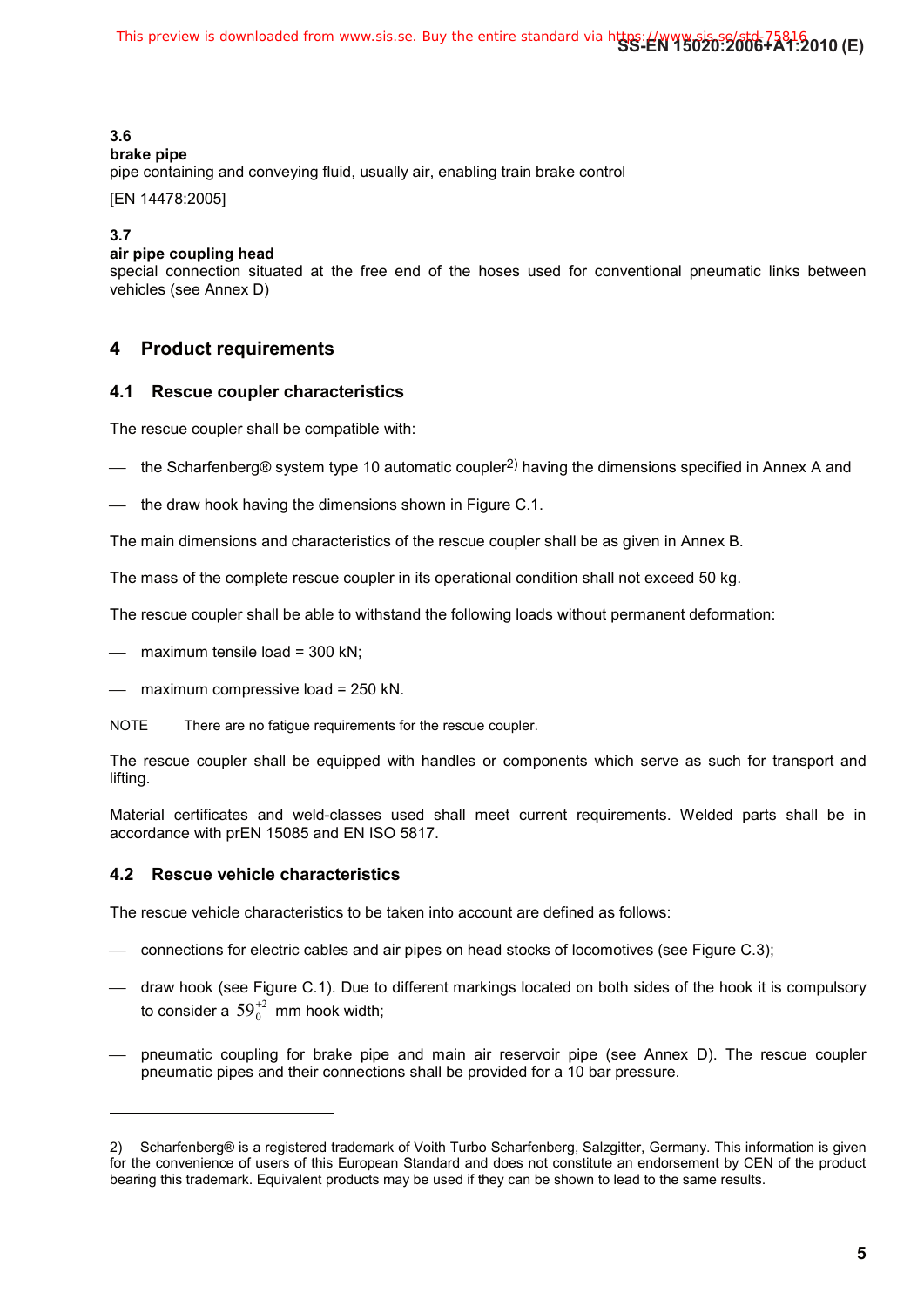This preview is downloaded from www.sis.se. Buy the entire standard via https://www.sis.se/std-75816<br>
SS-EN 15020:2006+A1:2010 (E)

#### **3.6**

#### **brake pipe**

pipe containing and conveying fluid, usually air, enabling train brake control

[EN 14478:2005]

#### **3.7**

-

#### **air pipe coupling head**

special connection situated at the free end of the hoses used for conventional pneumatic links between vehicles (see Annex D)

#### **4 Product requirements**

#### **4.1 Rescue coupler characteristics**

The rescue coupler shall be compatible with:

 $-$  the Scharfenberg® system type 10 automatic coupler<sup>2)</sup> having the dimensions specified in Annex A and

 $\frac{1}{1}$  the draw hook having the dimensions shown in Figure C.1.

The main dimensions and characteristics of the rescue coupler shall be as given in Annex B.

The mass of the complete rescue coupler in its operational condition shall not exceed 50 kg.

The rescue coupler shall be able to withstand the following loads without permanent deformation:

- $-$  maximum tensile load = 300 kN;
- maximum compressive load = 250 kN.

NOTE There are no fatigue requirements for the rescue coupler.

The rescue coupler shall be equipped with handles or components which serve as such for transport and lifting.

Material certificates and weld-classes used shall meet current requirements. Welded parts shall be in accordance with prEN 15085 and EN ISO 5817.

#### **4.2 Rescue vehicle characteristics**

The rescue vehicle characteristics to be taken into account are defined as follows:

- connections for electric cables and air pipes on head stocks of locomotives (see Figure C.3);
- draw hook (see Figure C.1). Due to different markings located on both sides of the hook it is compulsory to consider a  $59^{+2}_{0} \,$  mm hook width;
- pneumatic coupling for brake pipe and main air reservoir pipe (see Annex D). The rescue coupler pneumatic pipes and their connections shall be provided for a 10 bar pressure.

<sup>2)</sup> Scharfenberg® is a registered trademark of Voith Turbo Scharfenberg, Salzgitter, Germany. This information is given for the convenience of users of this European Standard and does not constitute an endorsement by CEN of the product bearing this trademark. Equivalent products may be used if they can be shown to lead to the same results.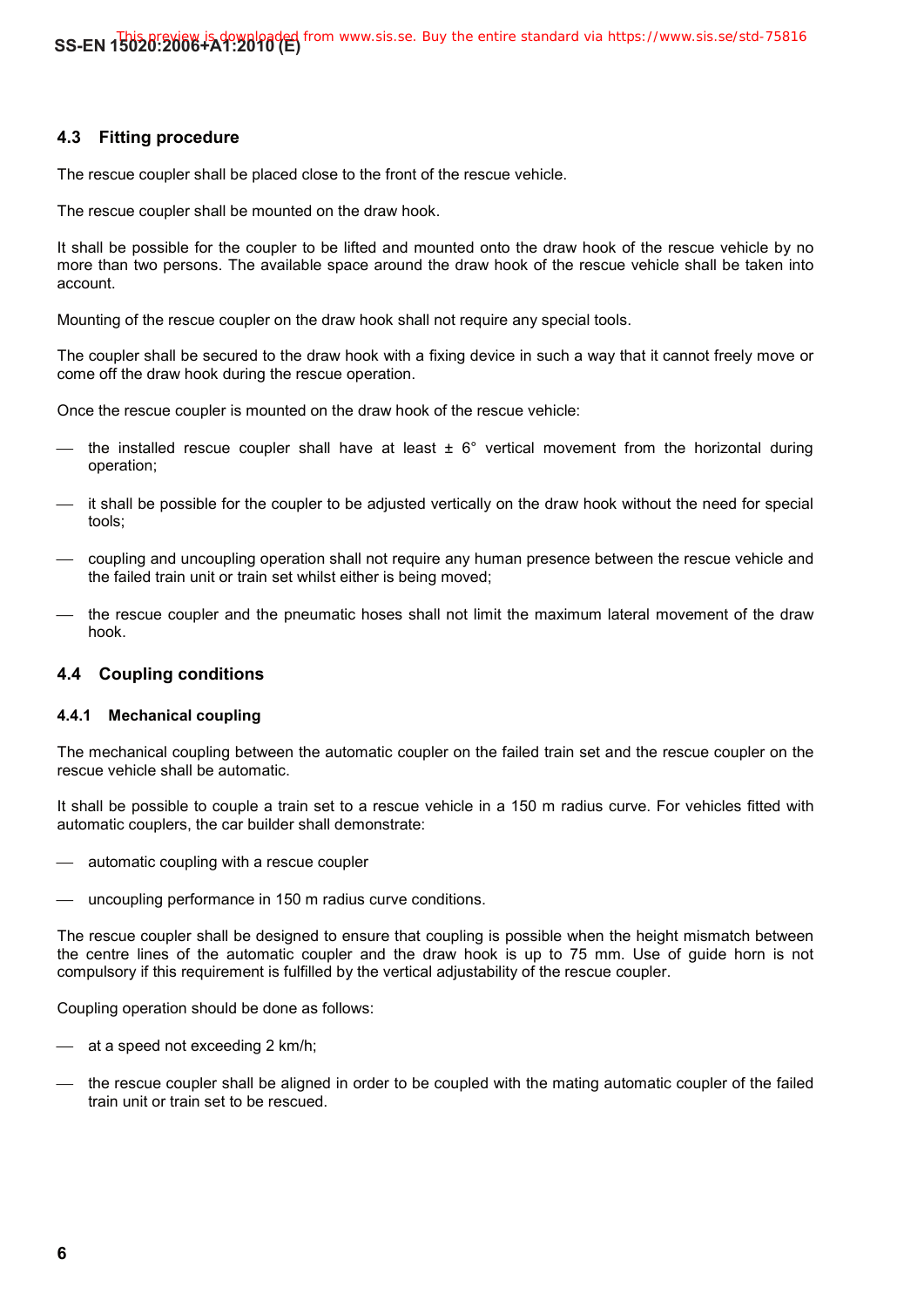#### **4.3 Fitting procedure**

The rescue coupler shall be placed close to the front of the rescue vehicle.

The rescue coupler shall be mounted on the draw hook.

It shall be possible for the coupler to be lifted and mounted onto the draw hook of the rescue vehicle by no more than two persons. The available space around the draw hook of the rescue vehicle shall be taken into account.

Mounting of the rescue coupler on the draw hook shall not require any special tools.

The coupler shall be secured to the draw hook with a fixing device in such a way that it cannot freely move or come off the draw hook during the rescue operation.

Once the rescue coupler is mounted on the draw hook of the rescue vehicle:

- the installed rescue coupler shall have at least  $\pm$  6° vertical movement from the horizontal during operation;
- it shall be possible for the coupler to be adjusted vertically on the draw hook without the need for special tools;
- coupling and uncoupling operation shall not require any human presence between the rescue vehicle and the failed train unit or train set whilst either is being moved;
- the rescue coupler and the pneumatic hoses shall not limit the maximum lateral movement of the draw hook.

#### **4.4 Coupling conditions**

#### **4.4.1 Mechanical coupling**

The mechanical coupling between the automatic coupler on the failed train set and the rescue coupler on the rescue vehicle shall be automatic.

It shall be possible to couple a train set to a rescue vehicle in a 150 m radius curve. For vehicles fitted with automatic couplers, the car builder shall demonstrate:

- automatic coupling with a rescue coupler
- uncoupling performance in 150 m radius curve conditions.

The rescue coupler shall be designed to ensure that coupling is possible when the height mismatch between the centre lines of the automatic coupler and the draw hook is up to 75 mm. Use of guide horn is not compulsory if this requirement is fulfilled by the vertical adjustability of the rescue coupler.

Coupling operation should be done as follows:

- at a speed not exceeding 2 km/h:
- the rescue coupler shall be aligned in order to be coupled with the mating automatic coupler of the failed train unit or train set to be rescued.